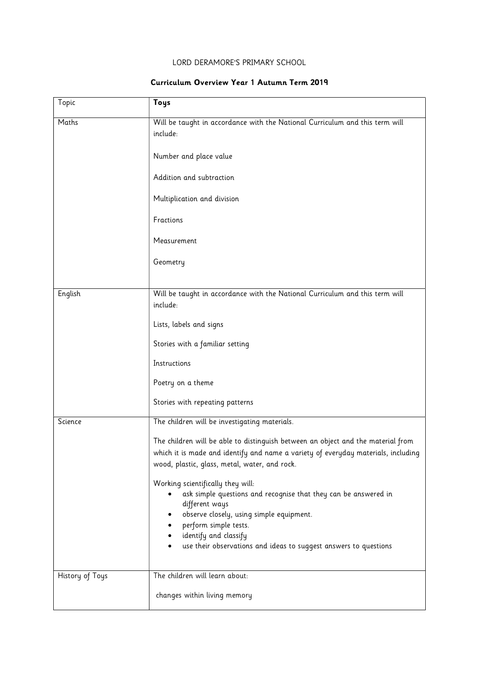## LORD DERAMORE'S PRIMARY SCHOOL

## Curriculum Overview Year 1 Autumn Term 2019

| Topic           | Toys                                                                                                                                                                                                                   |
|-----------------|------------------------------------------------------------------------------------------------------------------------------------------------------------------------------------------------------------------------|
| Maths           | Will be taught in accordance with the National Curriculum and this term will<br>include:                                                                                                                               |
|                 | Number and place value                                                                                                                                                                                                 |
|                 | Addition and subtraction                                                                                                                                                                                               |
|                 | Multiplication and division                                                                                                                                                                                            |
|                 | Fractions                                                                                                                                                                                                              |
|                 | Measurement                                                                                                                                                                                                            |
|                 | Geometry                                                                                                                                                                                                               |
|                 |                                                                                                                                                                                                                        |
| English         | Will be taught in accordance with the National Curriculum and this term will<br>include:                                                                                                                               |
|                 | Lists, labels and signs                                                                                                                                                                                                |
|                 | Stories with a familiar setting                                                                                                                                                                                        |
|                 | Instructions                                                                                                                                                                                                           |
|                 | Poetry on a theme                                                                                                                                                                                                      |
|                 | Stories with repeating patterns                                                                                                                                                                                        |
| Science         | The children will be investigating materials.                                                                                                                                                                          |
|                 | The children will be able to distinguish between an object and the material from<br>which it is made and identify and name a variety of everyday materials, including<br>wood, plastic, glass, metal, water, and rock. |
|                 | Working scientifically they will:<br>ask simple questions and recognise that they can be answered in<br>different ways<br>observe closely, using simple equipment.                                                     |
|                 | perform simple tests.                                                                                                                                                                                                  |
|                 | identify and classify                                                                                                                                                                                                  |
|                 | use their observations and ideas to suggest answers to questions                                                                                                                                                       |
| History of Toys | The children will learn about:                                                                                                                                                                                         |
|                 | changes within living memory                                                                                                                                                                                           |